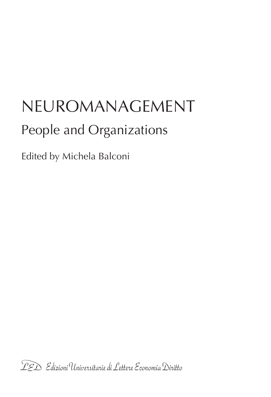# NEUROMANAGEMENT People and Organizations

Edited by Michela Balconi

TED Edizioni Universitarie di Lettere Economia Diritto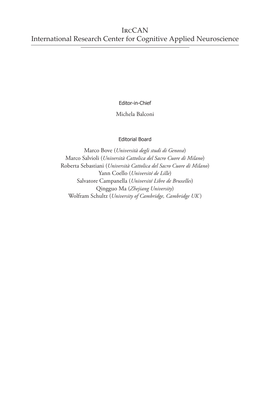Editor-in-Chief

Michela Balconi

### Editorial Board

Marco Bove (*Università degli studi di Genova*) Marco Salvioli (*Università Cattolica del Sacro Cuore di Milano*) Roberta Sebastiani (*Università Cattolica del Sacro Cuore di Milano*) Yann Coello (*Université de Lille*) Salvatore Campanella (*Université Libre de Bruxelles*) Qingguo Ma (*Zhejiang University*) Wolfram Schultz (*University of Cambridge, Cambridge UK* )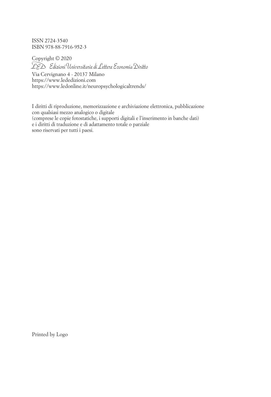ISSN 2724-3540 ISBN 978-88-7916-952-3

Copyright © 2020 PED Edizioni Universitarie di Lettere Economia Diritto Via Cervignano 4 - 20137 Milano https://www.lededizioni.com <https://www.ledonline.it/neuropsychologicaltrends/>

I diritti di riproduzione, memorizzazione e archiviazione elettronica, pubblicazione con qualsiasi mezzo analogico o digitale (comprese le copie fotostatiche, i supporti digitali e l'inserimento in banche dati) e i diritti di traduzione e di adattamento totale o parziale sono riservati per tutti i paesi.

Printed by Logo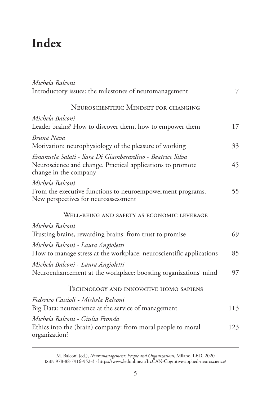# **Index**

| Michela Balconi                                                                                    |     |
|----------------------------------------------------------------------------------------------------|-----|
| Introductory issues: the milestones of neuromanagement                                             | 7   |
| NEUROSCIENTIFIC MINDSET FOR CHANGING                                                               |     |
| Michela Balconi                                                                                    |     |
| Leader brains? How to discover them, how to empower them                                           | 17  |
| Bruna Nava                                                                                         |     |
| Motivation: neurophysiology of the pleasure of working                                             | 33  |
| Emanuela Salati - Sara Di Giamberardino - Beatrice Silva                                           |     |
| Neuroscience and change. Practical applications to promote<br>change in the company                | 45  |
| Michela Balconi                                                                                    |     |
| From the executive functions to neuroempowerment programs.<br>New perspectives for neuroassessment | 55  |
| WELL-BEING AND SAFETY AS ECONOMIC LEVERAGE                                                         |     |
| Michela Balconi                                                                                    |     |
| Trusting brains, rewarding brains: from trust to promise                                           | 69  |
| Michela Balconi - Laura Angioletti                                                                 |     |
| How to manage stress at the workplace: neuroscientific applications                                | 85  |
| Michela Balconi - Laura Angioletti                                                                 |     |
| Neuroenhancement at the workplace: boosting organizations' mind                                    | 97  |
| TECHNOLOGY AND INNOVATIVE HOMO SAPIENS                                                             |     |
| Federico Cassioli - Michela Balconi                                                                |     |
| Big Data: neuroscience at the service of management                                                | 113 |
| Michela Balconi - Giulia Fronda                                                                    |     |
| Ethics into the (brain) company: from moral people to moral<br>organization?                       | 123 |

M. Balconi (ed.), *Neuromanagement: People and Organizations*, Milano, LED, 2020 [ISBN 978-88-7916-952-3 - https://www.ledonline.it/IrcCAN-Cognitive-applied-neuroscience/](https://www.ledonline.it/IrcCAN-Cognitive-applied-neuroscience/)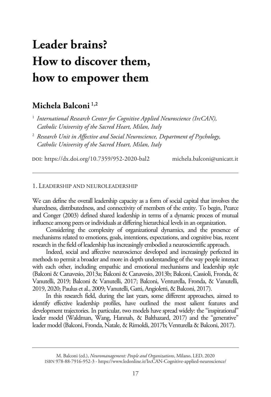# **Leader brains? How to discover them, how to empower them**

# **Michela Balconi** 1,2

- <sup>1</sup> International Research Center for Cognitive Applied Neuroscience (IrcCAN), *Catholic University of the Sacred Heart, Milan, Italy*
- <sup>2</sup>*Research Unit in Affective and Social Neuroscience, Department of Psychology, Catholic University of the Sacred Heart, Milan, Italy*

doi: <https://dx.doi.org/10.7359/952-2020-bal2> [michela.balconi@unicatt.it](mailto:michela.balconi@unicatt.it)

#### 1. LEADERSHIP AND NEUROLEADERSHIP

We can define the overall leadership capacity as a form of social capital that involves the sharedness, distributedness, and connectivity of members of the entity. To begin, Pearce and Conger (2003) defined shared leadership in terms of a dynamic process of mutual influence among peers or individuals at differing hierarchical levels in an organization.

Considering the complexity of organizational dynamics, and the presence of mechanisms related to emotions, goals, intentions, expectations, and cognitive bias, recent research in the field of leadership has increasingly embodied a neuroscientific approach.

Indeed, social and affective neuroscience developed and increasingly perfected its methods to permit a broader and more in depth understanding of the way people interact with each other, including empathic and emotional mechanisms and leadership style (Balconi & Canavesio, 2013a; Balconi & Canavesio, 2013b; Balconi, Cassioli, Fronda, & Vanutelli, 2019; Balconi & Vanutelli, 2017; Balconi, Venturella, Fronda, & Vanutelli, 2019, 2020; Paulus et al., 2009; Vanutelli, Gatti, Angioletti, & Balconi, 2017).

In this research field, during the last years, some different approaches, aimed to identify effective leadership profiles, have outlined the most salient features and development trajectories. In particular, two models have spread widely: the "inspirational" leader model (Waldman, Wang, Hannah, & Balthazard, 2017) and the "generative" leader model (Balconi, Fronda, Natale, & Rimoldi, 2017b; Venturella & Balconi, 2017).

M. Balconi (ed.), *Neuromanagement: People and Organizations*, Milano, LED, 2020 [ISBN 978-88-7916-952-3 - https://www.ledonline.it/IrcCAN-Cognitive-applied-neuroscience/](https://www.ledonline.it/IrcCAN-Cognitive-applied-neuroscience/)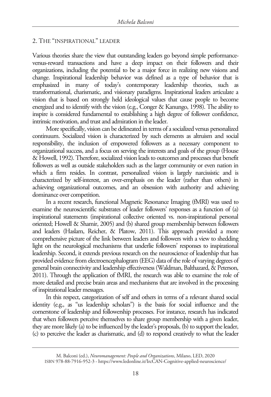## 2. THE "INSPIRATIONAL" LEADER

Various theories share the view that outstanding leaders go beyond simple performanceversus-reward transactions and have a deep impact on their followers and their organizations, including the potential to be a major force in realizing new visions and change. Inspirational leadership behavior was defined as a type of behavior that is emphasized in many of today's contemporary leadership theories, such as transformational, charismatic, and visionary paradigms. Inspirational leaders articulate a vision that is based on strongly held ideological values that cause people to become energized and to identify with the vision (e.g., Conger & Kanungo, 1998). The ability to inspire is considered fundamental to establishing a high degree of follower confidence, intrinsic motivation, and trust and admiration in the leader.

More specifically, vision can be delineated in terms of a socialized versus personalized continuum. Socialized vision is characterized by such elements as altruism and social responsibility, the inclusion of empowered followers as a necessary component to organizational success, and a focus on serving the interests and goals of the group (House & Howell, 1992). Therefore, socialized vision leads to outcomes and processes that benefit followers as well as outside stakeholders such as the larger community or even nation in which a firm resides. In contrast, personalized vision is largely narcissistic and is characterized by self-interest, an over-emphasis on the leader (rather than others) in achieving organizational outcomes, and an obsession with authority and achieving dominance over competition.

In a recent research, functional Magnetic Resonance Imaging (fMRI) was used to examine the neuroscientific substrates of leader followers' responses as a function of (a) inspirational statements (inspirational collective oriented vs. non-inspirational personal oriented; Howell & Shamir, 2005) and (b) shared group membership between followers and leaders (Haslam, Reicher, & Platow, 2011). This approach provided a more comprehensive picture of the link between leaders and followers with a view to shedding light on the neurological mechanisms that underlie followers' responses to inspirational leadership. Second, it extends previous research on the neuroscience of leadership that has provided evidence from electroencephalogram (EEG) data of the role of varying degrees of general brain connectivity and leadership effectiveness (Waldman, Balthazard, & Peterson, 2011). Through the application of fMRI, the research was able to examine the role of more detailed and precise brain areas and mechanisms that are involved in the processing of inspirational leader messages.

In this respect, categorization of self and others in terms of a relevant shared social identity (e.g., as "us leadership scholars") is the basis for social influence and the cornerstone of leadership and followership processes. For instance, research has indicated that when followers perceive themselves to share group membership with a given leader, they are more likely (a) to be influenced by the leader's proposals, (b) to support the leader, (c) to perceive the leader as charismatic, and (d) to respond creatively to what the leader

M. Balconi (ed.), *Neuromanagement: People and Organizations*, Milano, LED, 2020 [ISBN 978-88-7916-952-3 - https://www.ledonline.it/IrcCAN-Cognitive-applied-neuroscience/](https://www.ledonline.it/IrcCAN-Cognitive-applied-neuroscience/)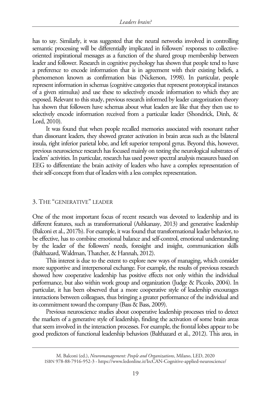has to say. Similarly, it was suggested that the neural networks involved in controlling semantic processing will be differentially implicated in followers' responses to collectiveoriented inspirational messages as a function of the shared group membership between leader and follower. Research in cognitive psychology has shown that people tend to have a preference to encode information that is in agreement with their existing beliefs, a phenomenon known as confirmation bias (Nickerson, 1998). In particular, people represent information in schemas (cognitive categories that represent prototypical instances of a given stimulus) and use these to selectively encode information to which they are exposed. Relevant to this study, previous research informed by leader categorization theory has shown that followers have schemas about what leaders are like that they then use to selectively encode information received from a particular leader (Shondrick, Dinh, & Lord, 2010).

It was found that when people recalled memories associated with resonant rather than dissonant leaders, they showed greater activation in brain areas such as the bilateral insula, right inferior parietal lobe, and left superior temporal gyrus. Beyond this, however, previous neuroscience research has focused mainly on testing the neurological substrates of leaders' activities. In particular, research has used power spectral analysis measures based on EEG to differentiate the brain activity of leaders who have a complex representation of their self-concept from that of leaders with a less complex representation.

#### 3. THE "GENERATIVE" LEADER

One of the most important focus of recent research was devoted to leadership and its different features, such as transformational (Ashkanasy, 2013) and generative leadership (Balconi et al., 2017b). For example, it was found that transformational leader behavior, to be effective, has to combine emotional balance and self-control, emotional understanding by the leader of the followers' needs, foresight and insight, communication skills (Balthazard, Waldman, Thatcher, & Hannah, 2012).

This interest is due to the extent to explore new ways of managing, which consider more supportive and interpersonal exchange. For example, the results of previous research showed how cooperative leadership has positive effects not only within the individual performance, but also within work group and organization (Judge & Piccolo, 2004). In particular, it has been observed that a more cooperative style of leadership encourages interactions between colleagues, thus bringing a greater performance of the individual and its commitment toward the company (Bass & Bass, 2009).

Previous neuroscience studies about cooperative leadership processes tried to detect the markers of a generative style of leadership, finding the activation of some brain areas that seem involved in the interaction processes. For example, the frontal lobes appear to be good predictors of functional leadership behaviors (Balthazard et al., 2012). This area, in

M. Balconi (ed.), *Neuromanagement: People and Organizations*, Milano, LED, 2020 [ISBN 978-88-7916-952-3 - https://www.ledonline.it/IrcCAN-Cognitive-applied-neuroscience/](https://www.ledonline.it/IrcCAN-Cognitive-applied-neuroscience/)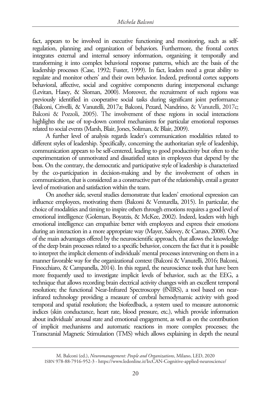fact, appears to be involved in executive functioning and monitoring, such as selfregulation, planning and organization of behaviors. Furthermore, the frontal cortex integrates external and internal sensory information, organizing it temporally and transforming it into complex behavioral response patterns, which are the basis of the leadership processes (Case, 1992; Fuster, 1999). In fact, leaders need a great ability to regulate and monitor others' and their own behavior. Indeed, prefrontal cortex supports behavioral, affective, social and cognitive components during interpersonal exchange (Levitan, Hasey, & Sloman, 2000). Moreover, the recruitment of such regions was previously identified in cooperative social tasks during significant joint performance (Balconi, Crivelli, & Vanutelli, 2017a; Balconi, Pezard, Nandrino, & Vanutelli, 2017c; Balconi & Pozzoli, 2005). The involvement of these regions in social interactions highlights the use of top-down control mechanisms for particular emotional responses related to social events (Marsh, Blair, Jones, Soliman, & Blair, 2009).

A further level of analysis regards leader's communication modalities related to different styles of leadership. Specifically, concerning the authoritarian style of leadership, communication appears to be self-centered, leading to good productivity but often to the experimentation of unmotivated and dissatisfied states in employees that depend by the boss. On the contrary, the democratic and participative style of leadership is characterized by the co-participation in decision-making and by the involvement of others in communication, that is considered as a constructive part of the relationship, entail a greater level of motivation and satisfaction within the team.

On another side, several studies demonstrate that leaders' emotional expression can influence employees, motivating them (Balconi & Venturella, 2015). In particular, the choice of modalities and timing to inspire others through emotions requires a good level of emotional intelligence (Goleman, Boyatzis, & McKee, 2002). Indeed, leaders with high emotional intelligence can empathize better with employees and express their emotions during an interaction in a more appropriate way (Mayer, Salovey, & Caruso, 2008). One of the main advantages offered by the neuroscientific approach, that allows the knowledge of the deep brain processes related to a specific behavior, concern the fact that it is possible to interpret the implicit elements of individuals' mental processes intervening on them in a manner favorable way for the organizational context (Balconi & Vanutelli, 2016; Balconi, Finocchiaro, & Campanella, 2014). In this regard, the neuroscience tools that have been more frequently used to investigate implicit levels of behavior, such as: the EEG, a technique that allows recording brain electrical activity changes with an excellent temporal resolution; the functional Near-Infrared Spectroscopy (fNIRS), a tool based on nearinfrared technology providing a measure of cerebral hemodynamic activity with good temporal and spatial resolution; the biofeedback, a system used to measure autonomic indices (skin conductance, heart rate, blood pressure, etc.), which provide information about individuals' arousal state and emotional engagement, as well as on the contribution of implicit mechanisms and automatic reactions in more complex processes; the Transcranial Magnetic Stimulation (TMS) which allows explaining in depth the neural

M. Balconi (ed.), *Neuromanagement: People and Organizations*, Milano, LED, 2020 [ISBN 978-88-7916-952-3 - https://www.ledonline.it/IrcCAN-Cognitive-applied-neuroscience/](https://www.ledonline.it/IrcCAN-Cognitive-applied-neuroscience/)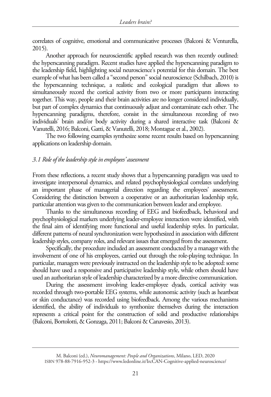correlates of cognitive, emotional and communicative processes (Balconi & Venturella, 2015).

Another approach for neuroscientific applied research was then recently outlined: the hyperscanning paradigm. Recent studies have applied the hyperscanning paradigm to the leadership field, highlighting social neuroscience's potential for this domain. The best example of what has been called a "second person" social neuroscience (Schilbach, 2010) is the hyperscanning technique, a realistic and ecological paradigm that allows to simultaneously record the cortical activity from two or more participants interacting together. This way, people and their brain activities are no longer considered individually, but part of complex dynamics that continuously adjust and contaminate each other. The hyperscanning paradigms, therefore, consist in the simultaneous recording of two individuals' brain and/or body activity during a shared interactive task (Balconi & Vanutelli, 2016; Balconi, Gatti, & Vanutelli, 2018; Montague et al., 2002).

The two following examples synthesize some recent results based on hyperscanning applications on leadership domain.

#### *3.1 Role of the leadership style in employees' assessment*

From these reflections, a recent study shows that a hyperscanning paradigm was used to investigate interpersonal dynamics, and related psychophysiological correlates underlying an important phase of managerial direction regarding the employees' assessment. Considering the distinction between a cooperative or an authoritarian leadership style, particular attention was given to the communication between leader and employee.

Thanks to the simultaneous recording of EEG and biofeedback, behavioral and psychophysiological markers underlying leader-employee interaction were identified, with the final aim of identifying more functional and useful leadership styles. In particular, different patterns of neural synchronization were hypothesized in association with different leadership styles, company roles, and relevant issues that emerged from the assessment.

Specifically, the procedure included an assessment conducted by a manager with the involvement of one of his employees, carried out through the role-playing technique. In particular, managers were previously instructed on the leadership style to be adopted: some should have used a responsive and participative leadership style, while others should have used an authoritarian style of leadership characterized by a more directive communication.

During the assessment involving leader-employee dyads, cortical activity was recorded through two-portable EEG systems, while autonomic activity (such as heartbeat or skin conductance) was recorded using biofeedback. Among the various mechanisms identified, the ability of individuals to synthonize themselves during the interaction represents a critical point for the construction of solid and productive relationships (Balconi, Bortolotti, & Gonzaga, 2011; Balconi & Canavesio, 2013).

M. Balconi (ed.), *Neuromanagement: People and Organizations*, Milano, LED, 2020 [ISBN 978-88-7916-952-3 - https://www.ledonline.it/IrcCAN-Cognitive-applied-neuroscience/](https://www.ledonline.it/IrcCAN-Cognitive-applied-neuroscience/)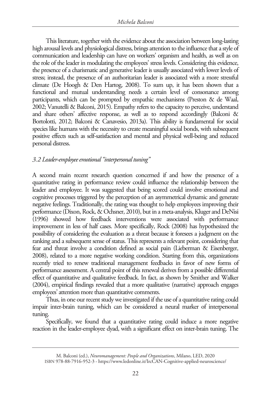This literature, together with the evidence about the association between long-lasting high arousal levels and physiological distress, brings attention to the influence that a style of communication and leadership can have on workers' organism and health, as well as on the role of the leader in modulating the employees' stress levels. Considering this evidence, the presence of a charismatic and generative leader is usually associated with lower levels of stress; instead, the presence of an authoritarian leader is associated with a more stressful climate (De Hoogh & Den Hartog, 2008). To sum up, it has been shown that a functional and mutual understanding needs a certain level of consonance among participants, which can be prompted by empathic mechanisms (Preston & de Waal, 2002; Vanutelli & Balconi, 2015). Empathy refers to the capacity to perceive, understand and share others' affective response, as well as to respond accordingly (Balconi & Bortolotti, 2012; Balconi & Canavesio, 2013a). This ability is fundamental for social species like humans with the necessity to create meaningful social bonds, with subsequent positive effects such as self-satisfaction and mental and physical well-being and reduced personal distress.

# *3.2 Leader-employee emotional "interpersonal tuning"*

A second main recent research question concerned if and how the presence of a quantitative rating in performance review could influence the relationship between the leader and employee. It was suggested that being scored could involve emotional and cognitive processes triggered by the perception of an asymmetrical dynamic and generate negative feelings. Traditionally, the rating was thought to help employees improving their performance (Dixon, Rock, & Ochsner, 2010), but in a meta-analysis, Kluger and DeNisi (1996) showed how feedback interventions were associated with performance improvement in less of half cases. More specifically, Rock (2008) has hypothesized the possibility of considering the evaluation as a threat because it foresees a judgment on the ranking and a subsequent sense of status. This represents a relevant point, considering that fear and threat involve a condition defined as social pain (Lieberman & Eisenberger, 2008), related to a more negative working condition. Starting from this, organizations recently tried to renew traditional management feedbacks in favor of new forms of performance assessment. A central point of this renewal derives from a possible differential effect of quantitative and qualitative feedback. In fact, as shown by Smither and Walker (2004), empirical findings revealed that a more qualitative (narrative) approach engages employees' attention more than quantitative comments.

Thus, in one our recent study we investigated if the use of a quantitative rating could impair inter-brain tuning, which can be considered a neural marker of interpersonal tuning.

Specifically, we found that a quantitative rating could induce a more negative reaction in the leader-employee dyad, with a significant effect on inter-brain tuning. The

M. Balconi (ed.), *Neuromanagement: People and Organizations*, Milano, LED, 2020 [ISBN 978-88-7916-952-3 - https://www.ledonline.it/IrcCAN-Cognitive-applied-neuroscience/](https://www.ledonline.it/IrcCAN-Cognitive-applied-neuroscience/)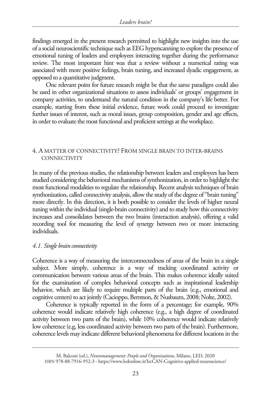findings emerged in the present research permitted to highlight new insights into the use of a social neuroscientific technique such as EEG hyperscanning to explore the presence of emotional tuning of leaders and employees interacting together during the performance review. The most important hint was that a review without a numerical rating was associated with more positive feelings, brain tuning, and increased dyadic engagement, as opposed to a quantitative judgment.

One relevant point for future research might be that the same paradigm could also be used in other organizational situations to assess individuals' or groups' engagement in company activities, to understand the natural condition in the company's life better. For example, starting from these initial evidence, future work could proceed to investigate further issues of interest, such as moral issues, group composition, gender and age effects, in order to evaluate the most functional and proficient settings at the workplace.

## 4. A MATTER OF CONNECTIVITY? FROM SINGLE BRAIN TO INTER-BRAINS **CONNECTIVITY**

In many of the previous studies, the relationship between leaders and employees has been studied considering the behavioral mechanisms of synthonization, in order to highlight the most functional modalities to regulate the relationship. Recent analysis techniques of brain synthonization, called connectivity analysis, allow the study of the degree of "brain tuning" more directly. In this direction, it is both possible to consider the levels of higher neural tuning within the individual (single-brain connectivity) and to study how this connectivity increases and consolidates between the two brains (interaction analysis), offering a valid recording tool for measuring the level of synergy between two or more interacting individuals.

# *4.1. Single brain connectivity*

Coherence is a way of measuring the interconnectedness of areas of the brain in a single subject. More simply, coherence is a way of tracking coordinated activity or communication between various areas of the brain. This makes coherence ideally suited for the examination of complex behavioral concepts such as inspirational leadership behavior, which are likely to require multiple parts of the brain (e.g., emotional and cognitive centers) to act jointly (Cacioppo, Berntson, & Nusbaum, 2008; Nolte, 2002).

Coherence is typically reported in the form of a percentage; for example, 90% coherence would indicate relatively high coherence (e.g., a high degree of coordinated activity between two parts of the brain), while 10% coherence would indicate relatively low coherence (e.g, less coordinated activity between two parts of the brain). Furthermore, coherence levels may indicate different behavioral phenomena for different locations in the

M. Balconi (ed.), *Neuromanagement: People and Organizations*, Milano, LED, 2020 [ISBN 978-88-7916-952-3 - https://www.ledonline.it/IrcCAN-Cognitive-applied-neuroscience/](https://www.ledonline.it/IrcCAN-Cognitive-applied-neuroscience/)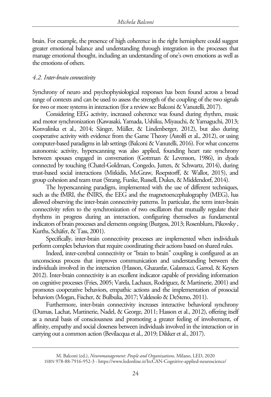brain. For example, the presence of high coherence in the right hemisphere could suggest greater emotional balance and understanding through integration in the processes that manage emotional thought, including an understanding of one's own emotions as well as the emotions of others.

#### *4.2. Inter-brain connectivity*

Synchrony of neuro and psychophysiological responses has been found across a broad range of contexts and can be used to assess the strength of the coupling of the two signals for two or more systems in interaction (for a review see Balconi & Vanutelli, 2017).

Considering EEG activity, increased coherence was found during rhythm, music and motor synchronization (Kawasaki, Yamada, Ushiku, Miyauchi, & Yamaguchi, 2013; Konvalinka et al., 2014; Sänger, Müller, & Lindenberger, 2012), but also during cooperative activity with evidence from the Game Theory (Astolfi et al., 2012), or using computer-based paradigms in lab settings (Balconi & Vanutelli, 2016). For what concerns autonomic activity, hyperscanning was also applied, founding heart rate synchrony between spouses engaged in conversation (Gottman & Levenson, 1986), in dyads connected by touching (Chatel-Goldman, Congedo, Jutten, & Schwartz, 2014), during trust-based social interactions (Mitkidis, McGraw, Roepstorff, & Wallot, 2015), and group cohesion and team trust (Strang, Funke, Russell, Dukes, & Middendorf, 2014).

The hyperscanning paradigm, implemented with the use of different techniques, such as the fMRI, the fNIRS, the EEG and the magnetoencephalography (MEG), has allowed observing the inter-brain connectivity patterns. In particular, the term inter-brain connectivity refers to the synchronization of two oscillators that mutually regulate their rhythms in progress during an interaction, configuring themselves as fundamental indicators of brain processes and elements ongoing (Burgess, 2013; Rosenblum, Pikovsky , Kurths, Schäfer, & Tass, 2001).

Specifically, inter-brain connectivity processes are implemented when individuals perform complex behaviors that require coordinating their actions based on shared rules.

Indeed, inter-cerebral connectivity or "brain to brain" coupling is configured as an unconscious process that improves communication and understanding between the individuals involved in the interaction (Hasson, Ghazanfar, Galantucci, Garrod, & Keysers 2012). Inter-brain connectivity is an excellent indicator capable of providing information on cognitive processes (Fries, 2005; Varela, Lachaux, Rodriguez, & Martinerie, 2001) and promotes cooperative behaviors, empathic actions and the implementation of prosocial behaviors (Mogan, Fischer, & Bulbulia, 2017; Valdesolo & DeSteno, 2011).

Furthermore, inter-brain connectivity increases interactive behavioral synchrony (Dumas, Lachat, Martinerie, Nadel, & George, 2011; Hasson et al., 2012), offering itself as a neural basis of consciousness and promoting a greater feeling of involvement, of affinity, empathy and social closeness between individuals involved in the interaction or in carrying out a common action (Bevilacqua et al., 2019; Dikker et al., 2017).

M. Balconi (ed.), *Neuromanagement: People and Organizations*, Milano, LED, 2020 [ISBN 978-88-7916-952-3 - https://www.ledonline.it/IrcCAN-Cognitive-applied-neuroscience/](https://www.ledonline.it/IrcCAN-Cognitive-applied-neuroscience/)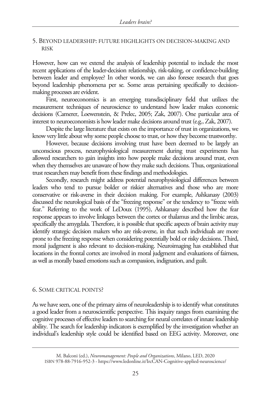#### 5. BEYOND LEADERSHIP: FUTURE HIGHLIGHTS ON DECISION-MAKING AND RISK

However, how can we extend the analysis of leadership potential to include the most recent applications of the leader-decision relationship, risk-taking, or confidence-building between leader and employee? In other words, we can also foresee research that goes beyond leadership phenomena per se. Some areas pertaining specifically to decisionmaking processes are evident.

First, neuroeconomics is an emerging transdisciplinary field that utilizes the measurement techniques of neuroscience to understand how leader makes economic decisions (Camerer, Loewenstein, & Prelec, 2005; Zak, 2007). One particular area of interest to neuroeconomists is how leader make decisions around trust (e.g., Zak, 2007).

Despite the large literature that exists on the importance of trust in organizations, we know very little about why some people choose to trust, or how they become trustworthy.

However, because decisions involving trust have been deemed to be largely an unconscious process, neurophysiological measurement during trust experiments has allowed researchers to gain insights into how people make decisions around trust, even when they themselves are unaware of how they make such decisions. Thus, organizational trust researchers may benefit from these findings and methodologies.

Secondly, research might address potential neurophysiological differences between leaders who tend to pursue bolder or riskier alternatives and those who are more conservative or risk-averse in their decision making. For example, Ashkanasy (2003) discussed the neurological basis of the "freezing response" or the tendency to "freeze with fear." Referring to the work of LeDoux (1995), Ashkanasy described how the fear response appears to involve linkages between the cortex or thalamus and the limbic areas, specifically the amygdala. Therefore, it is possible that specific aspects of brain activity may identify strategic decision makers who are risk-averse, in that such individuals are more prone to the freezing response when considering potentially bold or risky decisions. Third, moral judgment is also relevant to decision-making. Neuroimaging has established that locations in the frontal cortex are involved in moral judgment and evaluations of fairness, as well as morally based emotions such as compassion, indignation, and guilt.

#### 6. SOME CRITICAL POINTS?

As we have seen, one of the primary aims of neuroleadership is to identify what constitutes a good leader from a neuroscientific perspective. This inquiry ranges from examining the cognitive processes of effective leaders to searching for neural correlates of innate leadership ability. The search for leadership indicators is exemplified by the investigation whether an individual's leadership style could be identified based on EEG activity. Moreover, one

M. Balconi (ed.), *Neuromanagement: People and Organizations*, Milano, LED, 2020 [ISBN 978-88-7916-952-3 - https://www.ledonline.it/IrcCAN-Cognitive-applied-neuroscience/](https://www.ledonline.it/IrcCAN-Cognitive-applied-neuroscience/)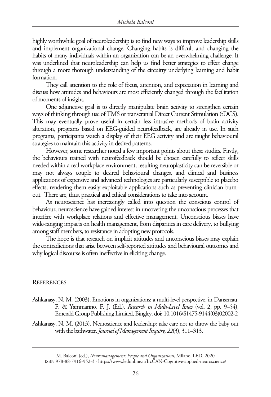highly worthwhile goal of neuroleadership is to find new ways to improve leadership skills and implement organizational change. Changing habits is difficult and changing the habits of many individuals within an organization can be an overwhelming challenge. It was underlined that neuroleadership can help us find better strategies to effect change through a more thorough understanding of the circuitry underlying learning and habit formation.

They call attention to the role of focus, attention, and expectation in learning and discuss how attitudes and behaviours are most efficiently changed through the facilitation of moments of insight.

One adjunctive goal is to directly manipulate brain activity to strengthen certain ways of thinking through use of TMS or transcranial Direct Current Stimulation (tDCS). This may eventually prove useful in certain less intrusive methods of brain activity alteration, programs based on EEG-guided neurofeedback, are already in use. In such programs, participants watch a display of their EEG activity and are taught behavioural strategies to maintain this activity in desired patterns.

However, some researcher noted a few important points about these studies. Firstly, the behaviours trained with neurofeedback should be chosen carefully to reflect skills needed within a real workplace environment, resulting neuroplasticity can be reversible or may not always couple to desired behavioural changes, and clinical and business applications of expensive and advanced technologies are particularly susceptible to placebo effects, rendering them easily exploitable applications such as preventing clinician burnout. There are, thus, practical and ethical considerations to take into account.

As neuroscience has increasingly called into question the conscious control of behaviour, neuroscience have gained interest in uncovering the unconscious processes that interfere with workplace relations and effective management. Unconscious biases have wide-ranging impacts on health management, from disparities in care delivery, to bullying among staff members, to resistance in adopting new protocols.

The hope is that research on implicit attitudes and unconscious biases may explain the contradictions that arise between self-reported attitudes and behavioural outcomes and why logical discourse is often ineffective in eliciting change.

#### **REFERENCES**

- Ashkanasy, N. M. (2003), Emotions in organizations: a multi-level perspective, in Dansereau, F. & Yammarino, F. J. (Ed.), *Research in Multi-Level Issues* (vol. 2, pp. 9–54), Emerald Group Publishing Limited, Bingley. doi: 10.1016/S1475-9144(03)02002-2
- Ashkanasy, N. M. (2013). Neuroscience and leadership: take care not to throw the baby out with the bathwater. *Journal of Management Inquiry*, *22*(3), 311–313.

M. Balconi (ed.), *Neuromanagement: People and Organizations*, Milano, LED, 2020 [ISBN 978-88-7916-952-3 - https://www.ledonline.it/IrcCAN-Cognitive-applied-neuroscience/](https://www.ledonline.it/IrcCAN-Cognitive-applied-neuroscience/)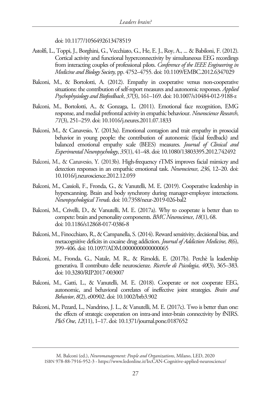doi: 10.1177/1056492613478519

- Astolfi, L., Toppi, J., Borghini, G., Vecchiato, G., He, E. J., Roy, A., ... & Babiloni, F. (2012). Cortical activity and functional hyperconnectivity by simultaneous EEG recordings from interacting couples of professional pilots. *Conference of the IEEE Engineering in Medicine and Biology Society,* pp. 4752–4755. doi: 10.1109/EMBC.2012.6347029
- Balconi, M., & Bortolotti, A. (2012). Empathy in cooperative versus non-cooperative situations: the contribution of self-report measures and autonomic responses. *Applied Psychophysiology and Biofeedback*, *37*(3), 161–169. doi: 10.1007/s10484-012-9188-z
- Balconi, M., Bortolotti, A., & Gonzaga, L. (2011). Emotional face recognition, EMG response, and medial prefrontal activity in empathic behaviour. *Neuroscience Research*, *71*(3), 251–259. doi: 10.1016/j.neures.2011.07.1833
- Balconi, M., & Canavesio, Y. (2013a). Emotional contagion and trait empathy in prosocial behavior in young people: the contribution of autonomic (facial feedback) and balanced emotional empathy scale (BEES) measures. *Journal of Clinical and Experimental Neuropsychology*, *35*(1), 41–48. doi: 10.1080/13803395.2012.742492
- Balconi, M., & Canavesio, Y. (2013b). High-frequency rTMS improves facial mimicry and detection responses in an empathic emotional task. *Neuroscience*, *236*, 12–20. doi: 10.1016/j.neuroscience.2012.12.059
- Balconi, M., Cassioli, F., Fronda, G., & Vanutelli, M. E. (2019). Cooperative leadership in hyperscanning. Brain and body synchrony during manager-employee interactions. *Neuropsychological Trends*. doi: 10.7358/neur-2019-026-bal2
- Balconi, M., Crivelli, D., & Vanutelli, M. E. (2017a). Why to cooperate is better than to compete: brain and personality components. *BMC Neuroscience*, *18*(1), 68. doi: 10.1186/s12868-017-0386-8
- Balconi, M., Finocchiaro, R., & Campanella, S. (2014). Reward sensitivity, decisional bias, and metacognitive deficits in cocaine drug addiction. *Journal of Addiction Medicine*, *8*(6), 399–406. doi: 10.1097/ADM.0000000000000065
- Balconi, M., Fronda, G., Natale, M. R., & Rimoldi, E. (2017b). Perchè la leadership generativa. Il contributo delle neuroscienze. *Ricerche di Psicologia*, *40*(3), 365–383. doi: 10.3280/RIP2017-003007
- Balconi, M., Gatti, L., & Vanutelli, M. E. (2018). Cooperate or not cooperate EEG, autonomic, and behavioral correlates of ineffective joint strategies. *Brain and Behavior*, *8*(2), e00902. doi: 10.1002/brb3.902
- Balconi, M., Pezard, L., Nandrino, J. L., & Vanutelli, M. E. (2017c). Two is better than one: the effects of strategic cooperation on intra-and inter-brain connectivity by fNIRS. *PloS One*, *12*(11), 1–17. doi: 10.1371/journal.pone.0187652

M. Balconi (ed.), *Neuromanagement: People and Organizations*, Milano, LED, 2020 [ISBN 978-88-7916-952-3 - https://www.ledonline.it/IrcCAN-Cognitive-applied-neuroscience/](https://www.ledonline.it/IrcCAN-Cognitive-applied-neuroscience/)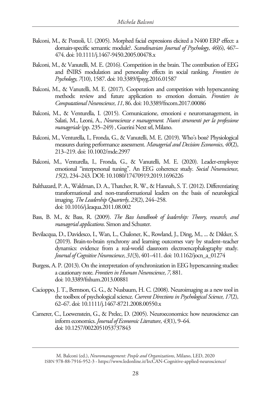- Balconi, M., & Pozzoli, U. (2005). Morphed facial expressions elicited a N400 ERP effect: a domain‐specific semantic module?. *Scandinavian Journal of Psychology*, *46*(6), 467– 474. doi: 10.1111/j.1467-9450.2005.00478.x
- Balconi, M., & Vanutelli, M. E. (2016). Competition in the brain. The contribution of EEG and fNIRS modulation and personality effects in social ranking. *Frontiers in Psychology*, *7*(10), 1587. doi: 10.3389/fpsyg.2016.01587
- Balconi, M., & Vanutelli, M. E. (2017). Cooperation and competition with hyperscanning methods: review and future application to emotion domain. *Frontiers in Computational Neuroscience*, *11*, 86. doi: 10.3389/fncom.2017.00086
- Balconi, M., & Venturella, I. (2015). Comunicazione, emozioni e neuromanagement, in Salati, M., Leoni, A., *Neuroscienze e management. Nuovi strumenti per la professione manageriale* (pp. 235–249), Guerini Next srl, Milano.
- Balconi, M., Venturella, I., Fronda, G., & Vanutelli, M. E. (2019). Who's boss? Physiological measures during performance assessment. *Managerial and Decision Economics*, *40*(2), 213–219. doi: 10.1002/mde.2997
- Balconi, M., Venturella, I., Fronda, G., & Vanutelli, M. E. (2020). Leader-employee emotional "interpersonal tuning". An EEG coherence study. *Social Neuroscience*, *15*(2), 234–243. DOI: 10.1080/17470919.2019.1696226
- Balthazard, P. A., Waldman, D. A., Thatcher, R. W., & Hannah, S. T. (2012). Differentiating transformational and non-transformational leaders on the basis of neurological imaging. *The Leadership Quarterly*, *23*(2), 244–258. doi: 10.1016/j.leaqua.2011.08.002
- Bass, B. M., & Bass, R. (2009). *The Bass handbook of leadership: Theory, research, and managerial applications*. Simon and Schuster.
- Bevilacqua, D., Davidesco, I., Wan, L., Chaloner, K., Rowland, J., Ding, M., ... & Dikker, S. (2019). Brain-to-brain synchrony and learning outcomes vary by student–teacher dynamics: evidence from a real-world classroom electroencephalography study. *Journal of Cognitive Neuroscience*, *31*(3), 401–411. doi: 10.1162/jocn\_a\_01274
- Burgess, A. P. (2013). On the interpretation of synchronization in EEG hyperscanning studies: a cautionary note. *Frontiers in Human Neuroscience*, *7*, 881. doi: 10.3389/fnhum.2013.00881
- Cacioppo, J. T., Berntson, G. G., & Nusbaum, H. C. (2008). Neuroimaging as a new tool in the toolbox of psychological science. *Current Directions in Psychological Science*, *17*(2), 62–67. doi: 10.1111/j.1467-8721.2008.00550.x
- Camerer, C., Loewenstein, G., & Prelec, D. (2005). Neuroeconomics: how neuroscience can inform economics. *Journal of Economic Literature*, *43*(1), 9–64. doi: 10.1257/0022051053737843

M. Balconi (ed.), *Neuromanagement: People and Organizations*, Milano, LED, 2020 [ISBN 978-88-7916-952-3 - https://www.ledonline.it/IrcCAN-Cognitive-applied-neuroscience/](https://www.ledonline.it/IrcCAN-Cognitive-applied-neuroscience/)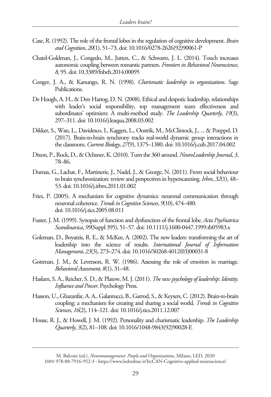- Case, R. (1992). The role of the frontal lobes in the regulation of cognitive development. *Brain and Cognition*, *20*(1), 51–73. doi: 10.1016/0278-2626(92)90061-P
- Chatel-Goldman, J., Congedo, M., Jutten, C., & Schwartz, J. L. (2014). Touch increases autonomic coupling between romantic partners. *Frontiers in Behavioral Neuroscience*, *8*, 95. doi: 10.3389/fnbeh.2014.00095
- Conger, J. A., & Kanungo, R. N. (1998). *Charismatic leadership in organizations*. Sage Publications.
- De Hoogh, A. H., & Den Hartog, D. N. (2008). Ethical and despotic leadership, relationships with leader's social responsibility, top management team effectiveness and subordinates' optimism: A multi-method study. *The Leadership Quarterly*, *19*(3), 297–311. doi: 10.1016/j.leaqua.2008.03.002
- Dikker, S., Wan, L., Davidesco, I., Kaggen, L., Oostrik, M., McClintock, J., ... & Poeppel, D. (2017). Brain-to-brain synchrony tracks real-world dynamic group interactions in the classroom. *Current Biology*, *27*(9), 1375–1380. doi: 10.1016/j.cub.2017.04.002
- Dixon, P., Rock, D., & Ochsner, K. (2010). Turn the 360 around. *NeuroLeadership Journal*, *3*, 78–86.
- Dumas, G., Lachat, F., Martinerie, J., Nadel, J., & George, N. (2011). From social behaviour to brain synchronization: review and perspectives in hyperscanning. *Irbm*, *32*(1), 48– 53. doi: 10.1016/j.irbm.2011.01.002
- Fries, P. (2005). A mechanism for cognitive dynamics: neuronal communication through neuronal coherence. *Trends in Cognitive Sciences*, *9*(10), 474–480. doi: 10.1016/j.tics.2005.08.011
- Fuster, J. M. (1999). Synopsis of function and dysfunction of the frontal lobe. *Acta Psychiatrica Scandinavica*, *99*(Suppl 395), 51–57. doi: 10.1111/j.1600-0447.1999.tb05983.x
- Goleman, D., Boyatzis, R. E., & McKee, A. (2002). The new leaders: transforming the art of leadership into the science of results. *International Journal of Information Management*, *23*(3), 273–274. doi: 10.1016/S0268-4012(03)00031-8
- Gottman, J. M., & Levenson, R. W. (1986). Assessing the role of emotion in marriage. *Behavioral Assessment*, *8*(1), 31–48.
- Haslam, S. A., Reicher, S. D., & Platow, M. J. (2011). *The new psychology of leadership: Identity. Influence and Power*. Psychology Press.
- Hasson, U., Ghazanfar, A. A., Galantucci, B., Garrod, S., & Keysers, C. (2012). Brain-to-brain coupling: a mechanism for creating and sharing a social world. *Trends in Cognitive Sciences*, *16*(2), 114–121. doi: 10.1016/j.tics.2011.12.007
- House, R. J., & Howell, J. M. (1992). Personality and charismatic leadership. *The Leadership Quarterly*, *3*(2), 81–108. doi: 10.1016/1048-9843(92)90028-E

M. Balconi (ed.), *Neuromanagement: People and Organizations*, Milano, LED, 2020 [ISBN 978-88-7916-952-3 - https://www.ledonline.it/IrcCAN-Cognitive-applied-neuroscience/](https://www.ledonline.it/IrcCAN-Cognitive-applied-neuroscience/)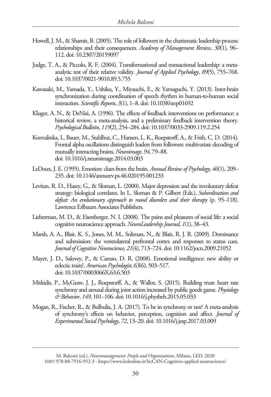- Howell, J. M., & Shamir, B. (2005). The role of followers in the charismatic leadership process: relationships and their consequences. *Academy of Management Review*, *30*(1), 96– 112. doi: 10.2307/20159097
- Judge, T. A., & Piccolo, R. F. (2004). Transformational and transactional leadership: a metaanalytic test of their relative validity. *Journal of Applied Psychology*, *89*(5), 755–768. doi: 10.1037/0021-9010.89.5.755
- Kawasaki, M., Yamada, Y., Ushiku, Y., Miyauchi, E., & Yamaguchi, Y. (2013). Inter-brain synchronization during coordination of speech rhythm in human-to-human social interaction. *Scientific Reports*, *3*(1), 1–8. doi: 10.1038/srep01692
- Kluger, A. N., & DeNisi, A. (1996). The effects of feedback interventions on performance: a historical review, a meta-analysis, and a preliminary feedback intervention theory. *Psychological Bulletin*, *119*(2), 254–284. doi: 10.1037/0033-2909.119.2.254
- Konvalinka, I., Bauer, M., Stahlhut, C., Hansen, L. K., Roepstorff, A., & Frith, C. D. (2014). Frontal alpha oscillations distinguish leaders from followers: multivariate decoding of mutually interacting brains. *Neuroimage*, *94*, 79–88. doi: 10.1016/j.neuroimage.2014.03.003
- LeDoux, J. E. (1995). Emotion: clues from the brain. *Annual Review of Psychology*, *46*(1), 209– 235. doi: 10.1146/annurev.ps.46.020195.001233
- Levitan, R. D., Hasey, G., & Sloman, L. (2000). Major depression and the involuntary defeat strategy: biological correlates. In L. Sloman & P. Gilbert (Eds.), *Subordination and defeat: An evolutionary approach to mood disorders and their therapy* (p. 95–118). Lawrence Erlbaum Associates Publishers.
- Lieberman, M. D., & Eisenberger, N. I. (2008). The pains and pleasures of social life: a social cognitive neuroscience approach. *NeuroLeadership Journal*, *1*(1), 38–43.
- Marsh, A. A., Blair, K. S., Jones, M. M., Soliman, N., & Blair, R. J. R. (2009). Dominance and submission: the ventrolateral prefrontal cortex and responses to status cues. *Journal of Cognitive Neuroscience*, *21*(4), 713–724. doi: 10.1162/jocn.2009.21052
- Mayer, J. D., Salovey, P., & Caruso, D. R. (2008). Emotional intelligence: new ability or eclectic traits?. *American Psychologist*, *63*(6), 503–517. doi: 10.1037/0003066X.63.6.503
- Mitkidis, P., McGraw, J. J., Roepstorff, A., & Wallot, S. (2015). Building trust: heart rate synchrony and arousal during joint action increased by public goods game. *Physiology & Behavior*, *149*, 101–106. doi: 10.1016/j.physbeh.2015.05.033
- Mogan, R., Fischer, R., & Bulbulia, J. A. (2017). To be in synchrony or not? A meta-analysis of synchrony's effects on behavior, perception, cognition and affect. *Journal of Experimental Social Psychology*, *72*, 13–20. doi: 10.1016/j.jesp.2017.03.009

M. Balconi (ed.), *Neuromanagement: People and Organizations*, Milano, LED, 2020 [ISBN 978-88-7916-952-3 - https://www.ledonline.it/IrcCAN-Cognitive-applied-neuroscience/](https://www.ledonline.it/IrcCAN-Cognitive-applied-neuroscience/)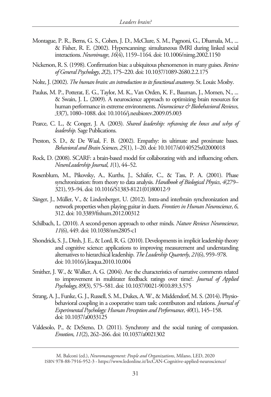- Montague, P. R., Berns, G. S., Cohen, J. D., McClure, S. M., Pagnoni, G., Dhamala, M., ... & Fisher, R. E. (2002). Hyperscanning: simultaneous fMRI during linked social interactions. *Neuroimage*, *16*(4), 1159–1164. doi: 10.1006/nimg.2002.1150
- Nickerson, R. S. (1998). Confirmation bias: a ubiquitous phenomenon in many guises. *Review of General Psychology*, *2*(2), 175–220. doi: 10.1037/1089-2680.2.2.175
- Nolte, J. (2002). *The human brain: an introduction to its functional anatomy*. St. Louis: Mosby.
- Paulus, M. P., Potterat, E. G., Taylor, M. K., Van Orden, K. F., Bauman, J., Momen, N., ... & Swain, J. L. (2009). A neuroscience approach to optimizing brain resources for human performance in extreme environments. *Neuroscience & Biobehavioral Reviews*, *33*(7), 1080–1088. doi: 10.1016/j.neubiorev.2009.05.003
- Pearce, C. L., & Conger, J. A. (2003). *Shared leadership: reframing the hows and whys of leadership.* Sage Publications.
- Preston, S. D., & De Waal, F. B. (2002). Empathy: its ultimate and proximate bases. *Behavioral and Brain Sciences*, *25*(1), 1–20. doi: 10.1017/s0140525x02000018
- Rock, D. (2008). SCARF: a brain-based model for collaborating with and influencing others. *NeuroLeadership Journal*, *1*(1), 44–52.
- Rosenblum, M., Pikovsky, A., Kurths, J., Schäfer, C., & Tass, P. A. (2001). Phase synchronization: from theory to data analysis. *Handbook of Biological Physics*, *4*(279– 321), 93–94. doi: 10.1016/S1383-8121(01)80012-9
- Sänger, J., Müller, V., & Lindenberger, U. (2012). Intra-and interbrain synchronization and network properties when playing guitar in duets. *Frontiers in Human Neuroscience*, *6*, 312. doi: 10.3389/fnhum.2012.00312
- Schilbach, L. (2010). A second-person approach to other minds. *Nature Reviews Neuroscience*, *11*(6), 449. doi: 10.1038/nrn2805-c1
- Shondrick, S. J., Dinh, J. E., & Lord, R. G. (2010). Developments in implicit leadership theory and cognitive science: applications to improving measurement and understanding alternatives to hierarchical leadership. *The Leadership Quarterly*, *21*(6), 959–978. doi: 10.1016/j.leaqua.2010.10.004
- Smither, J. W., & Walker, A. G. (2004). Are the characteristics of narrative comments related to improvement in multirater feedback ratings over time?. *Journal of Applied Psychology*, *89*(3), 575–581. doi: 10.1037/0021-9010.89.3.575
- Strang, A. J., Funke, G. J., Russell, S. M., Dukes, A. W., & Middendorf, M. S. (2014). Physiobehavioral coupling in a cooperative team task: contributors and relations. *Journal of Experimental Psychology: Human Perception and Performance*, *40*(1), 145–158. doi: 10.1037/a0033125
- Valdesolo, P., & DeSteno, D. (2011). Synchrony and the social tuning of compassion. *Emotion*, *11*(2), 262–266. doi: 10.1037/a0021302

M. Balconi (ed.), *Neuromanagement: People and Organizations*, Milano, LED, 2020 [ISBN 978-88-7916-952-3 - https://www.ledonline.it/IrcCAN-Cognitive-applied-neuroscience/](https://www.ledonline.it/IrcCAN-Cognitive-applied-neuroscience/)